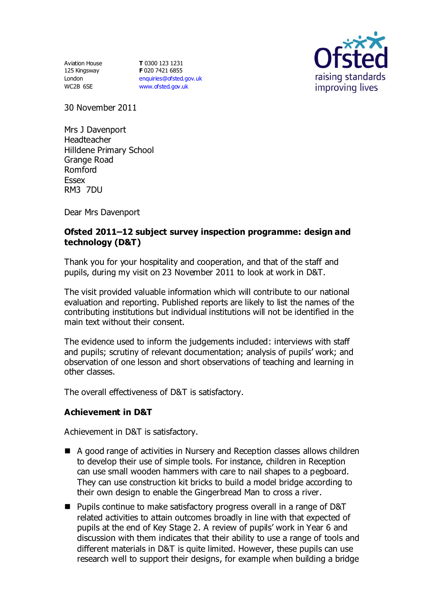Aviation House 125 Kingsway London WC2B 6SE

**T** 0300 123 1231 **F** 020 7421 6855 [enquiries@ofsted.gov.uk](mailto:enquiries@ofsted.gov.uk) [www.ofsted.gov.uk](http://www.ofsted.gov.uk/)



30 November 2011

Mrs J Davenport Headteacher Hilldene Primary School Grange Road Romford Essex RM3 7DU

Dear Mrs Davenport

# **Ofsted 2011–12 subject survey inspection programme: design and technology (D&T)**

Thank you for your hospitality and cooperation, and that of the staff and pupils, during my visit on 23 November 2011 to look at work in D&T.

The visit provided valuable information which will contribute to our national evaluation and reporting. Published reports are likely to list the names of the contributing institutions but individual institutions will not be identified in the main text without their consent.

The evidence used to inform the judgements included: interviews with staff and pupils; scrutiny of relevant documentation; analysis of pupils' work; and observation of one lesson and short observations of teaching and learning in other classes.

The overall effectiveness of D&T is satisfactory.

# **Achievement in D&T**

Achievement in D&T is satisfactory.

- A good range of activities in Nursery and Reception classes allows children to develop their use of simple tools. For instance, children in Reception can use small wooden hammers with care to nail shapes to a pegboard. They can use construction kit bricks to build a model bridge according to their own design to enable the Gingerbread Man to cross a river.
- Pupils continue to make satisfactory progress overall in a range of D&T related activities to attain outcomes broadly in line with that expected of pupils at the end of Key Stage 2. A review of pupils' work in Year 6 and discussion with them indicates that their ability to use a range of tools and different materials in D&T is quite limited. However, these pupils can use research well to support their designs, for example when building a bridge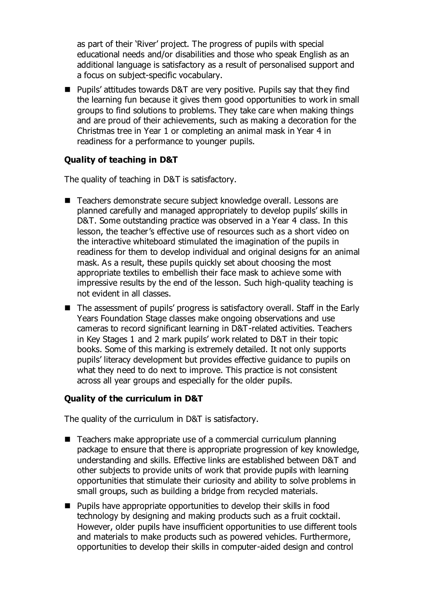as part of their 'River' project. The progress of pupils with special educational needs and/or disabilities and those who speak English as an additional language is satisfactory as a result of personalised support and a focus on subject-specific vocabulary.

■ Pupils' attitudes towards D&T are very positive. Pupils say that they find the learning fun because it gives them good opportunities to work in small groups to find solutions to problems. They take care when making things and are proud of their achievements, such as making a decoration for the Christmas tree in Year 1 or completing an animal mask in Year 4 in readiness for a performance to younger pupils.

# **Quality of teaching in D&T**

The quality of teaching in D&T is satisfactory.

- Teachers demonstrate secure subject knowledge overall. Lessons are planned carefully and managed appropriately to develop pupils' skills in D&T. Some outstanding practice was observed in a Year 4 class. In this lesson, the teacher's effective use of resources such as a short video on the interactive whiteboard stimulated the imagination of the pupils in readiness for them to develop individual and original designs for an animal mask. As a result, these pupils quickly set about choosing the most appropriate textiles to embellish their face mask to achieve some with impressive results by the end of the lesson. Such high-quality teaching is not evident in all classes.
- The assessment of pupils' progress is satisfactory overall. Staff in the Early Years Foundation Stage classes make ongoing observations and use cameras to record significant learning in D&T-related activities. Teachers in Key Stages 1 and 2 mark pupils' work related to D&T in their topic books. Some of this marking is extremely detailed. It not only supports pupils' literacy development but provides effective guidance to pupils on what they need to do next to improve. This practice is not consistent across all year groups and especially for the older pupils.

# **Quality of the curriculum in D&T**

The quality of the curriculum in D&T is satisfactory.

- Teachers make appropriate use of a commercial curriculum planning package to ensure that there is appropriate progression of key knowledge, understanding and skills. Effective links are established between D&T and other subjects to provide units of work that provide pupils with learning opportunities that stimulate their curiosity and ability to solve problems in small groups, such as building a bridge from recycled materials.
- **Pupils have appropriate opportunities to develop their skills in food** technology by designing and making products such as a fruit cocktail. However, older pupils have insufficient opportunities to use different tools and materials to make products such as powered vehicles. Furthermore, opportunities to develop their skills in computer-aided design and control